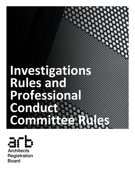# **Investigations Rules and Professional Conduct Committee Rules**



**Registration Board**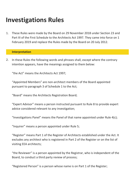## **Investigations Rules**

[1.](http://www.arb.org.uk/PCC-guidance) These Rules were made by the Board on 29 [November](http://www.arb.org.uk/PCC-guidance) 2018 under Section 23 and Part III of the First Schedule to the Architects Act 1997. They came into force on 1 February 2019 and replace the Rules made by the Board on 20 July 2012.

#### **Interpretation**

2. In these Rules the following words and phrases shall, except where the contrary intention appears, have the meanings assigned to them below:

"the Act" means the Architects Act 1997;

"Appointed Members" are non-architect members of the Board appointed pursuant to paragraph 3 of Schedule 1 to the Act;

"Board" means the Architects Registration Board;

"Expert Advisor" means a person instructed pursuant to Rule 8 to provide expert advice considered relevant to any investigation;

"Investigations Panel" means the Panel of that name appointed under Rule 4(c);

"Inquirer" means a person appointed under Rule 5;

"Register" means Part 1 of the Register of Architects established under the Act. It excludes any architect who is registered in Part 2 of the Register or on the list of visiting EEA architects;

"the Reviewer" is a person appointed by the Registrar, who is independent of the Board, to conduct a third party review of process;

"Registered Person" is a person whose name is on Part 1 of the Register;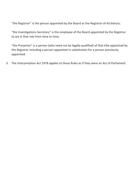"the Registrar" is the person appointed by the Board as the Registrar of Architects;

"the Investigations Secretary" is the employee of the Board appointed by the Registrar to act in that role from time to time;

"the Presenter" is a person (who need not be legally qualified) of that title appointed by the Registrar including a person appointed in substitution for a person previously appointed.

[3.](http://www.arb.org.uk/PCC-guidance) The [Interpretation](http://www.arb.org.uk/PCC-guidance) Act 1978 applies to these Rules as if they were an Act of Parliament.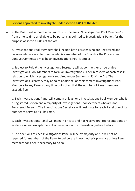#### **Persons appointed to investigate under section 14(1) of the Act**

[4.](http://www.arb.org.uk/PCC-guidance) a. The Board will appoint a minimum of six persons ("Investigations Pool Members") from time to time as eligible to be persons appointed to Investigations Panels for the purpose of section 14(1) of the Act.

b. Investigations Pool Members shall include both persons who are Registered and persons who are not. No person who is a member of the Board or the Professional Conduct Committee may be an Investigations Pool Member.

c. Subject to Rule 6 the Investigations Secretary will appoint either three or five Investigations Pool Members to form an Investigations Panel in respect of each case in relation to which investigation is required under Section 14(1) of the Act. The Investigations Secretary may appoint additional or replacement Investigations Pool Members to any Panel at any time but not so that the number of Panel members exceeds five.

d. Each Investigations Panel will contain at least one Investigations Pool Member who is a Registered Person and a majority of Investigations Pool Members who are not Registered Persons. The Investigations Secretary will designate for each Panel one of its number to serve as its Chairman.

e. Each Investigations Panel will meet in private and not receive oral [representations](http://www.arb.org.uk/PCC-guidance) or evidence unless exceptionally it is necessary in the interests of justice to do so.

f. The decisions of each Investigations Panel will be by majority and it will not be required for members of the Panel to deliberate in each other's presence unless Panel members consider it necessary to do so.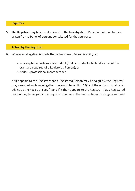#### **Inquirers**

[5.](http://www.arb.org.uk/PCC-guidance) The Registrar may (in consultation with the [Investigations](http://www.arb.org.uk/PCC-guidance) Panel) appoint an Inquirer drawn from a Panel of persons constituted for that purpose.

#### **Action by the Registrar**

- 6. Where an allegation is made that a Registered Person is guilty of:
	- a. unacceptable professional conduct (that is, conduct which falls short of the standard required of a Registered Person); or
	- b. serious professional [incompetence,](http://www.arb.org.uk/PCC-guidance)

or it appears to the Registrar that a Registered Person may be so guilty, the Registrar may carry out such investigations pursuant to section 14(1) of the Act and obtain such advice as the Registrar sees fit and if it then appears to the Registrar that a Registered Person may be so guilty, the Registrar shall refer the matter to an Investigations Panel.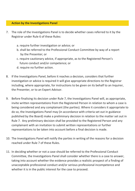#### **Action by the Investigations Panel**

- 7. The role of the Investigations Panel is to decide whether cases referred to it by the Registrar under Rule 6 of these Rules:
	- a. require further investigation or advice; or
	- b. shall be referred to the Professional Conduct Committee by way of a report by the Presenter; or
	- c. require cautionary advice, if appropriate, as to the Registered Person's future conduct and/or competence; or
	- d. require no further action.
- 8. If the Investigations Panel, before it reaches a decision, considers that further investigation or advice is required it will give appropriate directions to the Registrar including, where appropriate, for instructions to be given on its behalf to an Inquirer, the Presenter, or to an Expert Advisor.
- 9. Before finalising its decision under Rule 7, the Investigations Panel will, as appropriate, invite written [representations](http://www.arb.org.uk/PCC-guidance) from the Registered Person in relation to whom a case is being considered and any complainant (the parties). Where it considers it appropriate to do so, the Investigations Panel may (in accordance with criteria set out in guidance published by the Board) make a preliminary decision in relation to the matter set out in Rule 7. Any preliminary decision shall be provided to the Registered Person and any complainant with an invitation to submit written representations or further representations to be taken into account before a final decision is made.
- [10.](http://www.arb.org.uk/PCC-guidance) The Investigations Panel will notify the parties in writing of the reasons for a decision reached under Rule 7 of these Rules.
- 11. In deciding whether or not a case should be referred to the Professional Conduct Committee, the Investigations Panel shall consider whether there is a case to answer, taking into account whether the evidence provides a realistic prospect of a finding of unacceptable professional conduct and/or serious professional incompetence and whether it is in the public interest for the case to proceed.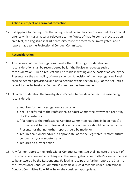#### **Action in respect of a criminal conviction**

[12.](http://www.arb.org.uk/PCC-guidance) If it appears to the Registrar that a Registered Person has been convicted of a criminal offence which has a material relevance to the fitness of that Person to practise as an architect, the Registrar shall (if necessary) cause the facts to be [investigated,](http://www.arb.org.uk/PCC-guidance) and a report made to the Professional Conduct Committee.

#### **Reconsideration**

- 13. Any decision of the Investigations Panel either following consideration or reconsideration shall be reconsidered by it if the Registrar requests such a [reconsideration.](http://www.arb.org.uk/PCC-guidance) Such a request shall be made in writing on the basis of advice by the Presenter or the availability of new evidence. A decision of the Investigations Panel shall be deemed provisional and not a decision within section 14(2) of the Act until a report to the Professional Conduct Committee has been made.
- 14. On a reconsideration the Investigations Panel is to decide whether the case being reconsidered:
	- a. requires further investigation or advice; or
	- b. shall be referred to the Professional Conduct Committee by way of a report by the Presenter; or
	- c. (if a report to the Professional Conduct Committee has already been made) a further report to the Professional Conduct Committee should be made by the Presenter or that no further report should be made; or
	- d. requires cautionary advice, if appropriate, as to the Registered Person's future conduct and/or competence; or
	- e. requires no further action
- 15. Any further report to the Professional Conduct Committee shall indicate the result of the reconsideration and any changes in the Investigations Committee's view of the case to be answered by the Respondent. Following receipt of a further report the Chair to the Professional Conduct Committee may make such directions under Professional Conduct Committee Rule 10 as he or she considers appropriate.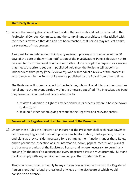#### **Third Party Review**

[16.](http://www.arb.org.uk/PCC-guidance) Where the [Investigations](http://www.arb.org.uk/PCC-guidance) Panel has decided that a case should not be referred to the Professional Conduct Committee, and the complainant or architect is dissatisfied with the process by which that decision has been reached, that person may request a third party review of that process.

A request for an independent third party review of process must be made within 30 days of the date of the written notification of the Investigations Panel's decision not to proceed to the Professional Conduct Committee. Upon receipt of a request for a review that meets the criteria set out in published guidance, the Registrar will appoint an independent third party ("the Reviewer"), who will conduct a review of the process in accordance within the Terms of Reference published by the Board from time to time.

The Reviewer will submit a report to the Registrar, who will send it to the Investigations Panel and to the relevant parties within the timescale specified. The Investigations Panel may consider its content and decide whether to:

- a. review its decision in light of any deficiency in its process (where it has the power to do so); or
- b. take no further action, giving reasons to the Registrar and relevant parties.

#### **Powers of the Registrar and of an Inquirer and of the Presenter**

17. Under these Rules the Registrar, an Inquirer or the Presenter shall each have power to call upon any Registered Person to produce such information, books, papers, records and plans as they consider necessary for discharging their functions under these Rules, and to permit the inspection of such information, books, papers, records and plans at the business premises of the Registered Person and, where necessary, to permit any copying (at the Board's expense); and every Registered Person must promptly, fully and frankly comply with any [requirement](http://www.arb.org.uk/PCC-guidance) made upon them under this Rule.

This requirement shall not apply to any information in relation to which the Registered Person is entitled to legal professional privilege or the disclosure of which would constitute an offence.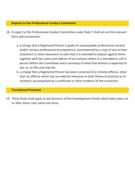#### **Reports to the Professional Conduct Committee**

- [18.](http://www.arb.org.uk/PCC-guidance) A report to the Professional Conduct Committee under Rule 7 shall set out the relevant facts and incorporate:
	- a. a charge that a Registered Person is guilty of unacceptable professional conduct and/or serious professional [incompetence,](http://www.arb.org.uk/PCC-guidance) accompanied by a copy of any written statement or other document or plan that it is intended to adduce against them, together with the name and address of any witness whom it is intended to call in person before the Committee and a summary of what that witness is expected to say; or, as the case may be;
	- b. a charge that a Registered Person has been convicted of a criminal offence, other than an offence which has no material relevance to their fitness to practise as an architect, accompanied by a certificate or other evidence of the conviction.

#### **Transitional Provision**

19. These Rules shall apply to any business of the [Investigations](http://www.arb.org.uk/PCC-guidance) Panels which takes place on or after these rules came into force.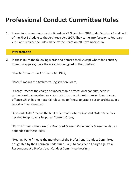# **Professional Conduct Committee Rules**

[1.](http://www.arb.org.uk/PCC-guidance) These Rules were made by the Board on 29 [November](http://www.arb.org.uk/PCC-guidance) 2018 under Section 23 and Part II of the First Schedule to the Architects Act 1997. They came into force on 1 February 2019 and replace the Rules made by the Board on 20 November 2014.

#### **Interpretation**

2. In these Rules the following words and phrases shall, except where the contrary intention appears, have the meanings assigned to them below:

"the Act" means the Architects Act 1997;

"Board" means the Architects Registration Board;

"Charge" means the charge of unacceptable professional conduct, serious professional incompetence or of conviction of a criminal offence other than an offence which has no material relevance to fitness to practise as an architect, in a report of the Presenter;

"Consent Order" means the final order made when a Consent Order Panel has decided to approve a Proposed Consent Order;

"Form A" means the form of a Proposed Consent Order and a Consent order, as appended to these Rules;

"Hearing Panel" means the members of the Professional Conduct Committee designated by the Chairman under Rule 5.a.(i) to consider a Charge against a Respondent at a Professional Conduct Committee hearing;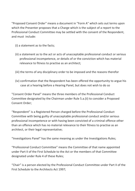"Proposed Consent Order" means a document in "Form A" which sets out terms upon which the Presenter proposes that a Charge which is the subject of a report to the Professional Conduct Committee may be settled with the consent of the Respondent, and must include:

- (i) a statement as to the facts;
- (ii) a statement as to the act or acts of unacceptable professional conduct or serious professional incompetence, or details of or the conviction which has material relevance to fitness to practise as an architect;
- (iii) the terms of any disciplinary order to be imposed and the reasons therefor
- (iv) confirmation that the Respondent has been offered the opportunity to argue his case at a hearing before a Hearing Panel, but does not wish to do so

"Consent Order Panel" means the three members of the Professional Conduct Committee designated by the Chairman under Rule 5.a.(ii) to consider a Proposed Consent Order;

"Respondent" is a Registered Person charged before the Professional Conduct Committee with being guilty of unacceptable professional conduct and/or serious professional incompetence or with having been convicted of a criminal offence other than an offence which has no material relevance to their fitness to practise as an architect, or their legal [representative;](http://www.arb.org.uk/PCC-guidance)

"Investigations Panel" has the same meaning as under the Investigations Rules;

"Professional Conduct Committee" means the Committee of that name appointed under Part II of the First Schedule to the Act or the members of that Committee designated under Rule 4 of these Rules;

"Chair" is a person elected by the Professional Conduct Committee under Part II of the First Schedule to the Architects Act 1997;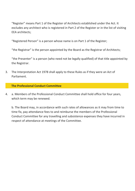"Register" means Part 1 of the Register of Architects established under the Act. It excludes any architect who is registered in Part 2 of the Register or in the list of visiting EEA architects;

"Registered Person" is a person whose name is on Part 1 of the Register;

"the Registrar" is the person appointed by the Board as the Registrar of Architects;

"the Presenter" is a person (who need not be legally qualified) of that title appointed by the Registrar.

The [Interpretation](http://www.arb.org.uk/PCC-guidance) Act 1978 shall apply to these Rules as if they were an Act of Parliament. [3.](http://www.arb.org.uk/PCC-guidance)

#### **The Professional Conduct Committee**

4. a. Members of the Professional Conduct Committee shall hold office for four years, which term may be renewed.

b. The Board may, in accordance with such rates of allowances as it may from time to time fix, pay attendance fees to and reimburse the members of the [Professional](http://www.arb.org.uk/PCC-guidance) Conduct Committee for any travelling and subsistence expenses they have incurred in respect of attendance at meetings of the Committee.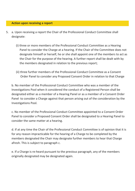#### **Action upon receiving a report**

- [5.](http://www.arb.org.uk/PCC-guidance) a. Upon receiving a report the Chair of the Professional Conduct Committee shall designate:
	- (i) three or more members of the Professional Conduct Committee as a Hearing Panel to consider the Charge at a hearing. If the Chair of the Committee does not designate himself or herself, he or she shall appoint one of the members to act as the Chair for the purpose of the hearing. A further report shall be dealt with by the members designated in relation to the previous report;
	- (ii) three further members of the Professional Conduct Committee as a Consent Order Panel to consider any Proposed Consent Order in relation to that Charge

b. No member of the Professional Conduct Committee who was a member of the [Investigations](http://www.arb.org.uk/PCC-guidance) Pool when it considered the conduct of a Registered Person shall be designated either as a member of a Hearing Panel or as a member of a Consent Order Panel to consider a Charge against that person arising out of the consideration by the Investigations Pool.

c. No member of the Professional Conduct Committee appointed to a Consent Order Panel to consider a Proposed Consent Order shall be designated to a Hearing Panel to consider the same matter at a hearing.

d. If at any time the Chair of the Professional Conduct Committee is of opinion that it is for any reason impracticable for the hearing of a Charge to be completed by the members designated the Chair may designate further members to hear that Charge afresh. This is subject to paragraph c.

e. If a Charge is re-heard pursuant to the previous paragraph, any of the members originally designated may be designated again.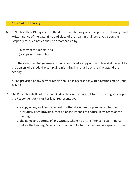#### **Notice of the hearing**

- [6.](http://www.arb.org.uk/PCC-guidance) a. Not less than 49 days before the date of first hearing of a Charge by the Hearing Panel written notice of the date, time and place of the hearing shall be served upon the Respondent. Such notice shall be accompanied by:
	- (i) a copy of the report; and
	- (ii) a copy of these Rules

b. In the case of a Charge arising out of a complaint a copy of the notice shall be sent to the person who made the complaint informing him that he or she may attend the hearing.

c. The provision of any further report shall be in accordance with directions made under Rule 11.

- 7. The Presenter shall not less than 35 days before the date set for the hearing serve upon the Respondent or his or her legal [representative:](http://www.arb.org.uk/PCC-guidance)
	- a. a copy of any written statement or other document or plan (which has not previously been provided) that he or she intends to adduce in evidence at the hearing;
	- b. the name and address of any witness whom he or she intends to call in person before the Hearing Panel and a summary of what that witness is expected to say.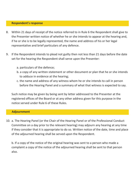#### **Respondent's response**

- 8. Within 21 days of receipt of the notice referred to in Rule 6 the Respondent shall give to the Presenter written notice of whether he or she intends to appear at the hearing and, if he or she is to be legally represented, the name and address of his or her legal [representative](http://www.arb.org.uk/PCC-guidance) and brief particulars of any defence.
- 9. If the Respondent intends to plead not guilty then not less than 21 days before the date set for the hearing the Respondent shall serve upon the Presenter:
	- a. particulars of the defence;
	- b. a copy of any written statement or other document or plan that he or she intends to adduce in evidence at the hearing;
	- c. the name and address of any witness whom he or she intends to call in person before the Hearing Panel and a summary of what that witness is expected to say.

Such notice may be given by being sent by letter addressed to the Presenter at the registered offices of the Board or at any other address given for this purpose in the notice served under Rule 6 of these Rules.

#### **Adjournment**

[10.](http://www.arb.org.uk/PCC-guidance) a. The Hearing Panel (or the Chair of the Hearing Panel or of the Professional Conduct Committee on a day prior to the relevant hearing) may adjourn any hearing at any time if they consider that it is appropriate to do so. Written notice of the date, time and place of the adjourned hearing shall be served upon the [Respondent.](http://www.arb.org.uk/PCC-guidance)

b. If a copy of the notice of the original hearing was sent to a person who made a complaint a copy of the notice of the adjourned hearing shall be sent to that person also.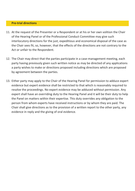#### **Pre-trial directions**

- [11.](http://www.arb.org.uk/PCC-guidance) At the request of the Presenter or a Respondent or at his or her own volition the Chair of the Hearing Panel or of the Professional Conduct Committee may give such interlocutory directions for the just, expeditious and economical disposal of the case as the Chair sees fit, so, however, that the effects of the directions are not contrary to the Act or unfair to the Respondent.
- 12. The Chair may direct that the parties participate in a [case-management](http://www.arb.org.uk/PCC-guidance) meeting, each party having previously given such written notice as may be directed of any applications a party wishes to make or directions proposed including directions which are proposed by agreement between the parties.
- 13. Either party may apply to the Chair of the Hearing Panel for permission to adduce expert evidence but expert evidence shall be restricted to that which is reasonably required to resolve the proceedings. No expert evidence may be adduced without permission. Any expert shall have an overriding duty to the Hearing Panel and it will be their duty to help the Panel on matters within their expertise. This duty overrides any obligation to the person from whom experts have received instructions or by whom they are paid. The Chair shall give directions as to the provision of a written report to the other party, any evidence in reply and the giving of oral evidence.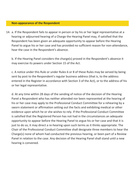#### **Non-appearance of the Respondent**

[14.](http://www.arb.org.uk/PCC-guidance) a. If the Respondent fails to appear in person or by his or her legal representative at a hearing or adjourned hearing of a Charge the Hearing Panel may, if satisfied that the Respondent has been given an adequate opportunity to appear before the Hearing Panel to argue his or her case and has provided no sufficient reason for [non-attendance,](http://www.arb.org.uk/PCC-guidance) hear the case in the Respondent's absence.

b. If the Hearing Panel considers the charge(s) proved in the Respondent's absence it may exercise its powers under Section 15 of the Act.

c. A notice under this Rule or under Rules 6 or 8 of these Rules may be served by being sent by post to the Respondent's regular business address (that is, to the address entered in the Register in accordance with Section 3 of the Act), or to the address of his or her legal representative.

d. At any time within 28 days of the sending of notice of the decision of the Hearing Panel a Respondent who has neither attended nor been represented at the hearing of his or her case may apply to the Professional Conduct Committee for a rehearing by a sworn statement or affirmation setting out the facts and exhibiting medical or other evidence upon which he or she wishes to rely. If the Professional Conduct Committee is satisfied that the Registered Person has not had in the circumstances an adequate opportunity to appear before the Hearing Panel to argue his or her case and that it is just to do so, it may direct a re-hearing upon such terms as it thinks appropriate. The Chair of the Professional Conduct Committee shall designate three members to hear the Charge(s) none of whom had conducted the previous hearing, or been part of a Review Panel in relation to the case. Any decision of the Hearing Panel shall stand until a new hearing is convened.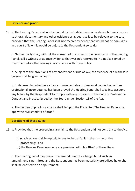#### **Evidence and proof**

[15.](http://www.arb.org.uk/PCC-guidance) a. The Hearing Panel shall not be bound by the judicial rules of evidence but may receive such oral, documentary and other evidence as appears to it to be relevant to the case, provided that the Hearing Panel shall not receive evidence that would not be admissible in a court of law if it would be unjust to the Respondent so to do.

b. Neither party shall, without the consent of the other or the permission of the Hearing Panel, call a witness or adduce evidence that was not referred to in a notice served on the other before the hearing in accordance with these Rules.

c. Subject to the provisions of any enactment or rule of law, the evidence of a witness in person shall be given on oath.

d. In determining whether a charge of unacceptable professional conduct or serious professional [incompetence](http://www.arb.org.uk/PCC-guidance) has been proved the Hearing Panel shall take into account any failure by the Respondent to comply with any provision of the Code of Professional Conduct and Practice issued by the Board under Section 13 of the Act.

e. The burden of proving a charge shall lie upon the Presenter. The Hearing Panel shall apply the civil standard of proof.

#### **Variations of these Rules**

16. a. Provided that the proceedings are fair to the Respondent and not contrary to the Act:

- (i) no objection shall be upheld to any technical fault in the charge or the proceedings; and
- (ii) the Hearing Panel may vary any provision of Rules 18-20 of these Rules.

b. The Hearing Panel may permit the amendment of a Charge, but if such an amendment is permitted and the Respondent has been materially prejudiced he or she shall be entitled to an [adjournment.](http://www.arb.org.uk/PCC-guidance)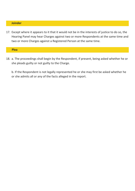#### **Joinder**

[17.](http://www.arb.org.uk/PCC-guidance) Except where it appears to it that it would not be in the interests of justice to do so, the Hearing Panel may hear Charges against two or more [Respondents](http://www.arb.org.uk/PCC-guidance) at the same time and two or more Charges against a Registered Person at the same time.

#### **Plea**

18. a. The proceedings shall begin by the [Respondent,](http://www.arb.org.uk/PCC-guidance) if present, being asked whether he or she pleads guilty or not guilty to the Charge.

b. If the Respondent is not legally represented he or she may first be asked whether he or she admits all or any of the facts alleged in the report.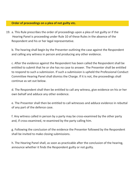#### **Order of proceedings on a plea of not guilty etc.**

[19.](http://www.arb.org.uk/PCC-guidance) a. This Rule prescribes the order of proceedings upon a plea of not guilty or if the Hearing Panel is proceeding under Rule 10 of these Rules in the absence of the Respondent and his or her legal representative.

b. The hearing shall begin by the Presenter outlining the case against the Respondent and calling any witness in person and producing any other evidence.

c. After the evidence against the Respondent has been called the Respondent shall be entitled to submit that he or she has no case to answer. The Presenter shall be entitled to respond to such a submission. If such a submission is upheld the Professional Conduct Committee Hearing Panel shall dismiss the Charge. If it is not, the proceedings shall continue as set out below.

d. The Respondent shall then be entitled to call any witness, give evidence on his or her own behalf and adduce any other evidence.

e. The Presenter shall then be entitled to call witnesses and adduce evidence in rebuttal of any part of the defence case.

f. Any witness called in person by a party may be cross-examined by the other party and, if [cross-examined,](http://www.arb.org.uk/PCC-guidance) re-examined by the party calling him.

g. Following the conclusion of the evidence the Presenter followed by the Respondent shall be invited to make closing submissions.

h. The Hearing Panel shall, as soon as practicable after the conclusion of the hearing, announce whether it finds the Respondent guilty or not guilty.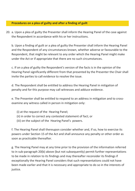#### **Procedures on a plea of guilty and after a finding of guilt**

[20.](http://www.arb.org.uk/PCC-guidance) a. Upon a plea of guilty the Presenter shall inform the Hearing Panel of the case against the Respondent in accordance with his or her instructions.

b. Upon a finding of guilt or a plea of guilty the Presenter shall inform the Hearing Panel and the Respondent of any circumstances known, whether adverse or favourable to the Respondent, that might be relevant to any order which the Hearing Panel might make under the Act or if appropriate that there are no such circumstances.

c. If on a plea of guilty the Respondent's version of the facts is in the opinion of the Hearing Panel significantly different from that presented by the Presenter the Chair shall invite the parties to call evidence to resolve the issue.

d. The Respondent shall be entitled to address the Hearing Panel in mitigation of penalty and for this purpose may call witnesses and adduce evidence.

e. The Presenter shall be entitled to respond to an address in mitigation and to crossexamine any witness called in person in mitigation only:

- (i) at the request of the Hearing Panel;
- (ii) in order to correct any contested statement of fact; or
- (iii) on the subject of the Hearing Panel's powers.

f. The Hearing Panel shall thereupon consider whether and, if so, how to exercise its powers under Section 15 of the Act and shall announce any penalty or other order as soon as practicable thereafter.

g. The Hearing Panel may at any time prior to the provision of the information referred to in sub-paragraph 20(b) above (but not subsequently) permit further [representations](http://www.arb.org.uk/PCC-guidance) to be made in relation to its findings and may thereafter reconsider its findings if exceptionally the Hearing Panel considers that such representations could not have been made earlier and that it is necessary and appropriate to do so in the interests of justice.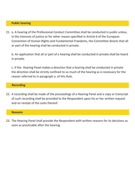#### **Public hearing**

[21.](http://www.arb.org.uk/PCC-guidance) a. A hearing of the Professional Conduct Committee shall be conducted in public unless, in the interests of justice or for other reason specified in Article 6 of the European Convention of Human Rights and [Fundamental](http://www.arb.org.uk/PCC-guidance) Freedoms, the Committee directs that all or part of the hearing shall be conducted in private.

b. An application that all or part of a hearing shall be conducted in private shall be heard in private.

c. If the Hearing Panel makes a direction that a hearing shall be conducted in private the direction shall be strictly confined to so much of the hearing as is necessary for the reason referred to in paragraph a. of this Rule.

#### **Recording**

22. A recording shall be made of the [proceedings](http://www.arb.org.uk/PCC-guidance) of a Hearing Panel and a copy or transcript of such recording shall be provided to the Respondent upon his or her written request and on receipt of the costs thereof.

#### **Reasons**

23. The Hearing Panel shall provide the [Respondent](http://www.arb.org.uk/PCC-guidance) with written reasons for its decisions as soon as practicable after the hearing.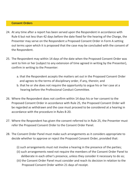#### **Consent Orders**

- [24.](http://www.arb.org.uk/PCC-guidance) At any time after a report has been served upon the Respondent in accordance with Rule 6 but not less than 42 days before the date fixed for the hearing of the Charge, the Presenter may serve on the Respondent a Proposed Consent Order in Form A setting out terms upon which it is proposed that the case may be concluded with the consent of the Respondent.
- 25. The Respondent may within 14 days of the date when the Proposed Consent Order was sent to him or her (subject to any extension of time agreed in writing by the Presenter), confirm in writing to the Presenter:
	- a. that the Respondent accepts the matters set out in the Proposed Consent Order and agrees to the terms of disciplinary order, if any, therein; and
	- b. that he or she does not require the opportunity to argue his or her case at a hearing before the Professional Conduct Committee.
- Where the Respondent does not confirm within 14 days his or her consent to the 26. Proposed Consent Order in accordance with Rule 25, the Proposed Consent Order will be regarded as withdrawn and the case must proceed to be considered at a hearing in accordance with the procedure in Rules 8-20.
- Where the Respondent has given the consent referred to in Rule 25, the Presenter must 27. refer the Proposed Consent Order to the Consent Order Panel.
- 28. The Consent Order Panel must make such arrangements as it considers appropriate to decide whether to approve or reject the Proposed Consent Order, provided that:
	- (i) such [arrangements](http://www.arb.org.uk/PCC-guidance) must not involve a hearing in the presence of the parties;
	- (ii) such arrangements need not require the members of the Consent Order Panel to deliberate in each other's presence, unless they consider it necessary to do so;
	- (iii) the Consent Order Panel must consider and reach its decision in relation to the Proposed Consent Order within 21 days of receipt.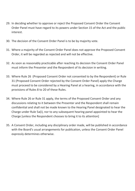- [29.](http://www.arb.org.uk/PCC-guidance) In deciding whether to approve or reject the Proposed Consent Order the Consent Order Panel must have regard to its powers under Section 15 of the Act and the public interest.
- 30. The decision of the Consent Order Panel is to be by majority vote.
- Where a majority of the Consent Order Panel does not approve the Proposed Consent 31. Order, it will be regarded as rejected and will not be effective.
- 32. As soon as reasonably practicable after reaching its decision the Consent Order Panel must inform the Presenter and the Respondent of its decision in writing.
- Where Rule 26 (Proposed Consent Order not consented to by the Respondent) or Rule 33. 31 (Proposed Consent Order rejected by the Consent Order Panel) apply the Charge must proceed to be considered by a Hearing Panel at a hearing, in accordance with the provisions of Rules 8 to 20 of these Rules.
- Where Rule 26 or Rule 31 apply, the terms of the Proposed Consent Order and any 34. discussions relating to it between the Presenter and the Respondent shall remain confidential and shall not be made known to the Hearing Panel designated to hear the Charge under Rule 5a(i), nor to any subsequent hearing panel appointed to hear the Charge [unless the Respondent chooses to bring it to its attention]
- 35. A Consent Order, including any disciplinary order made, will be published in accordance with the Board's usual [arrangements](http://www.arb.org.uk/PCC-guidance) for publication, unless the Consent Order Panel expressly determines otherwise.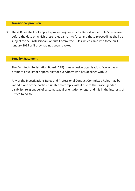#### **Transitional provision**

[36.](http://www.arb.org.uk/PCC-guidance) These Rules shall not apply to proceedings in which a Report under Rule 5 is received before the date on which these rules came into force and those proceedings shall be subject to the [Professional](http://www.arb.org.uk/PCC-guidance) Conduct Committee Rules which came into force on 1 January 2015 as if they had not been revoked.

#### **Equality Statement**

The Architects Registration Board (ARB) is an inclusive organisation. We actively promote equality of opportunity for everybody who has dealings with us.

Any of the [Investigations](http://www.arb.org.uk/PCC-guidance) Rules and Professional Conduct Committee Rules may be varied if one of the parties is unable to comply with it due to their race, gender, disability, religion, belief system, sexual orientation or age, and it is in the interests of justice to do so.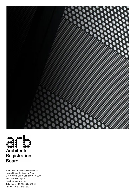



For more information please contact the Architects Registration Board 8 Weymouth Street, London W1W 5BU Web: www.arb.org.uk Email: [info@arb.org.uk](http://www.arb.org.uk/) Telephone: +44 (0) 20 7580 5861 Fax: +44 (0) 20 7436 5269